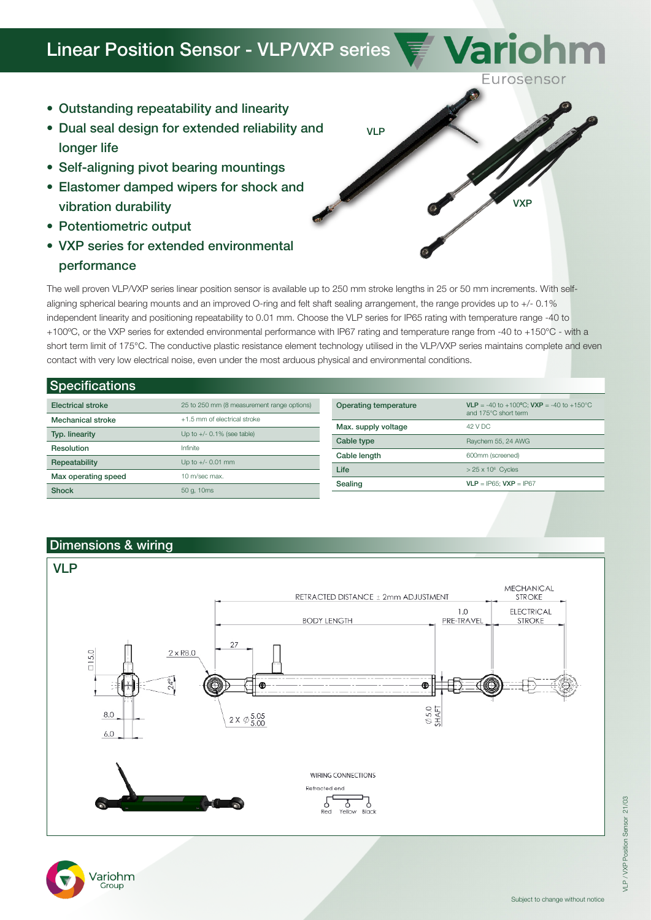## Linear Position Sensor - VLP/VXP series

- Outstanding repeatability and linearity
- Dual seal design for extended reliability and longer life
- Self-aligning pivot bearing mountings
- Elastomer damped wipers for shock and vibration durability
- Potentiometric output
- VXP series for extended environmental performance

The well proven VLP/VXP series linear position sensor is available up to 250 mm stroke lengths in 25 or 50 mm increments. With selfaligning spherical bearing mounts and an improved O-ring and felt shaft sealing arrangement, the range provides up to +/- 0.1% independent linearity and positioning repeatability to 0.01 mm. Choose the VLP series for IP65 rating with temperature range -40 to +100ºC, or the VXP series for extended environmental performance with IP67 rating and temperature range from -40 to +150°C - with a short term limit of 175°C. The conductive plastic resistance element technology utilised in the VLP/VXP series maintains complete and even contact with very low electrical noise, even under the most arduous physical and environmental conditions.

VLP

| <b>Specifications</b>    |                                            |                       |                                                                                           |  |  |  |
|--------------------------|--------------------------------------------|-----------------------|-------------------------------------------------------------------------------------------|--|--|--|
| <b>Electrical stroke</b> | 25 to 250 mm (8 measurement range options) | Operating temperature | <b>VLP</b> = -40 to +100°C: <b>VXP</b> = -40 to +150°C<br>and 175°C short term<br>42 V DC |  |  |  |
| <b>Mechanical stroke</b> | +1.5 mm of electrical stroke               | Max. supply voltage   |                                                                                           |  |  |  |
| Typ. linearity           | Up to $+/-$ 0.1% (see table)               | Cable type            | Raychem 55, 24 AWG                                                                        |  |  |  |
| Resolution               | Infinite                                   | Cable length          | 600mm (screened)<br>$> 25 \times 10^6$ Cycles<br>$VLP = IP65$ ; $VXP = IP67$              |  |  |  |
| Repeatability            | Up to $+/- 0.01$ mm                        | Life                  |                                                                                           |  |  |  |
| Max operating speed      | 10 m/sec max.                              | Sealing               |                                                                                           |  |  |  |
| <b>Shock</b>             | 50 g, 10ms                                 |                       |                                                                                           |  |  |  |

## Dimensions & wiring



VXP

Variohm

Eurosensor